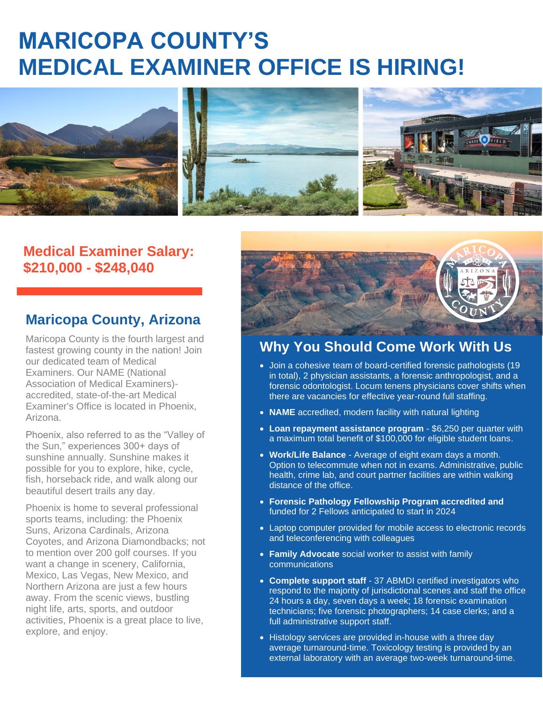# **MARICOPA COUNTY'S MEDICAL EXAMINER OFFICE IS HIRING!**



### **Medical Examiner Salary: \$210,000 - \$248,040**

### **Maricopa County, Arizona**

Maricopa County is the fourth largest and fastest growing county in the nation! Join our dedicated team of Medical Examiners. Our NAME (National Association of Medical Examiners) accredited, state-of-the-art Medical Examiner's Office is located in Phoenix, Arizona.

Phoenix, also referred to as the "Valley of the Sun," experiences 300+ days of sunshine annually. Sunshine makes it possible for you to explore, hike, cycle, fish, horseback ride, and walk along our beautiful desert trails any day.

Phoenix is home to several professional sports teams, including: the Phoenix Suns, Arizona Cardinals, Arizona Coyotes, and Arizona Diamondbacks; not to mention over 200 golf courses. If you want a change in scenery, California, Mexico, Las Vegas, New Mexico, and Northern Arizona are just a few hours away. From the scenic views, bustling night life, arts, sports, and outdoor activities, Phoenix is a great place to live, explore, and enjoy.



## **Why You Should Come Work With Us**

- Join a cohesive team of board-certified forensic pathologists (19 in total), 2 physician assistants, a forensic anthropologist, and a forensic odontologist. Locum tenens physicians cover shifts when there are vacancies for effective year-round full staffing.
- **NAME** accredited, modern facility with natural lighting
- **Loan repayment assistance program** \$6,250 per quarter with a maximum total benefit of \$100,000 for eligible student loans.
- **Work/Life Balance** Average of eight exam days a month. Option to telecommute when not in exams. Administrative, public health, crime lab, and court partner facilities are within walking distance of the office.
- **Forensic Pathology Fellowship Program accredited and**  funded for 2 Fellows anticipated to start in 2024
- Laptop computer provided for mobile access to electronic records and teleconferencing with colleagues
- **Family Advocate** social worker to assist with family communications

 $\mathbf{F} = \mathbf{F} \mathbf{F} \mathbf{F} + \mathbf{F} \mathbf{F} \mathbf{F}$  information [here.](https://www.governmentjobs.com/careers/maricopa/jobs/3185128/medical-examiner?keywords=medical%20examiner&pagetype=jobOpportunitiesJobs)

- **Complete support staff** 37 ABMDI certified investigators who respond to the majority of jurisdictional scenes and staff the office 24 hours a day, seven days a week; 18 forensic examination technicians; five forensic photographers; 14 case clerks; and a full administrative support staff.
- Histology services are provided in-house with a three day average turnaround-time. Toxicology testing is provided by an external laboratory with an average two-week turnaround-time.